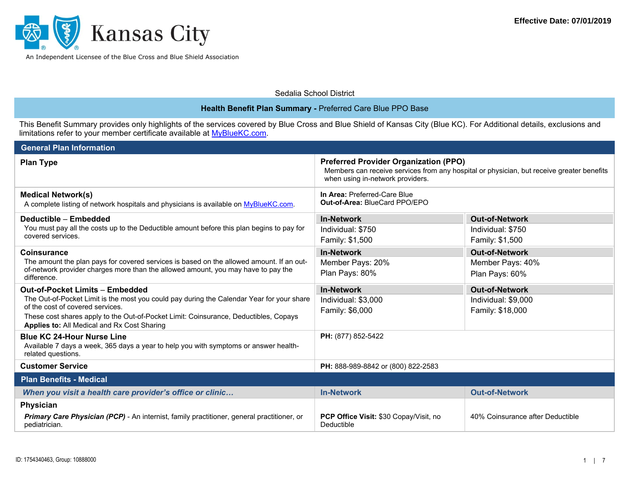

| Sedalia School District |  |
|-------------------------|--|
|                         |  |

## **Health Benefit Plan Summary -** Preferred Care Blue PPO Base

This Benefit Summary provides only highlights of the services covered by Blue Cross and Blue Shield of Kansas City (Blue KC). For Additional details, exclusions and limitations refer to your member certificate available at <u>MyBlueKC.com</u>.

| <b>General Plan Information</b>                                                                                                                                                                                    |                                                                                                                                                                               |                                  |  |
|--------------------------------------------------------------------------------------------------------------------------------------------------------------------------------------------------------------------|-------------------------------------------------------------------------------------------------------------------------------------------------------------------------------|----------------------------------|--|
| <b>Plan Type</b>                                                                                                                                                                                                   | <b>Preferred Provider Organization (PPO)</b><br>Members can receive services from any hospital or physician, but receive greater benefits<br>when using in-network providers. |                                  |  |
| <b>Medical Network(s)</b><br>A complete listing of network hospitals and physicians is available on MyBlueKC.com.                                                                                                  | In Area: Preferred-Care Blue<br>Out-of-Area: BlueCard PPO/EPO                                                                                                                 |                                  |  |
| Deductible - Embedded                                                                                                                                                                                              | <b>In-Network</b>                                                                                                                                                             | <b>Out-of-Network</b>            |  |
| You must pay all the costs up to the Deductible amount before this plan begins to pay for<br>covered services.                                                                                                     | Individual: \$750                                                                                                                                                             | Individual: \$750                |  |
|                                                                                                                                                                                                                    | Family: \$1,500                                                                                                                                                               | Family: \$1,500                  |  |
| <b>Coinsurance</b><br>The amount the plan pays for covered services is based on the allowed amount. If an out-<br>of-network provider charges more than the allowed amount, you may have to pay the<br>difference. | <b>In-Network</b>                                                                                                                                                             | <b>Out-of-Network</b>            |  |
|                                                                                                                                                                                                                    | Member Pays: 20%                                                                                                                                                              | Member Pays: 40%                 |  |
|                                                                                                                                                                                                                    | Plan Pays: 80%                                                                                                                                                                | Plan Pays: 60%                   |  |
| <b>Out-of-Pocket Limits - Embedded</b>                                                                                                                                                                             | <b>In-Network</b>                                                                                                                                                             | <b>Out-of-Network</b>            |  |
| The Out-of-Pocket Limit is the most you could pay during the Calendar Year for your share<br>of the cost of covered services.                                                                                      | Individual: \$3,000                                                                                                                                                           | Individual: \$9,000              |  |
| These cost shares apply to the Out-of-Pocket Limit: Coinsurance, Deductibles, Copays                                                                                                                               | Family: \$6,000                                                                                                                                                               | Family: \$18,000                 |  |
| Applies to: All Medical and Rx Cost Sharing                                                                                                                                                                        |                                                                                                                                                                               |                                  |  |
| <b>Blue KC 24-Hour Nurse Line</b>                                                                                                                                                                                  | PH: (877) 852-5422                                                                                                                                                            |                                  |  |
| Available 7 days a week, 365 days a year to help you with symptoms or answer health-<br>related questions.                                                                                                         |                                                                                                                                                                               |                                  |  |
| <b>Customer Service</b>                                                                                                                                                                                            | PH: 888-989-8842 or (800) 822-2583                                                                                                                                            |                                  |  |
| <b>Plan Benefits - Medical</b>                                                                                                                                                                                     |                                                                                                                                                                               |                                  |  |
| When you visit a health care provider's office or clinic                                                                                                                                                           | <b>In-Network</b>                                                                                                                                                             | <b>Out-of-Network</b>            |  |
| Physician                                                                                                                                                                                                          |                                                                                                                                                                               |                                  |  |
| Primary Care Physician (PCP) - An internist, family practitioner, general practitioner, or<br>pediatrician.                                                                                                        | <b>PCP Office Visit: \$30 Copay/Visit, no</b><br>Deductible                                                                                                                   | 40% Coinsurance after Deductible |  |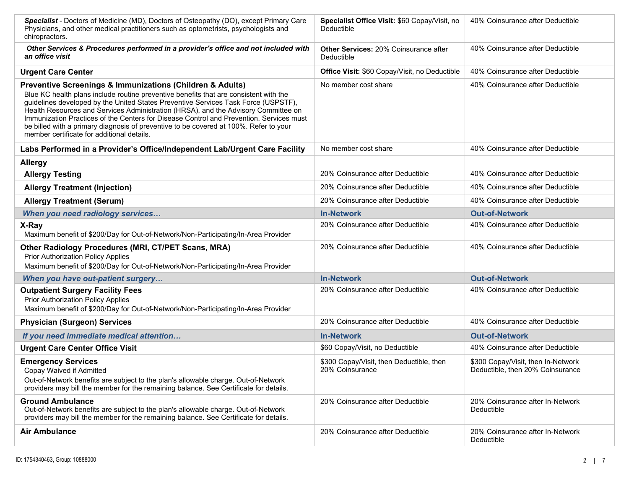| Specialist - Doctors of Medicine (MD), Doctors of Osteopathy (DO), except Primary Care<br>Physicians, and other medical practitioners such as optometrists, psychologists and<br>chiropractors.                                                                                                                                                                                                                                                                                                                                                                                 | Specialist Office Visit: \$60 Copay/Visit, no<br>Deductible | 40% Coinsurance after Deductible                                       |
|---------------------------------------------------------------------------------------------------------------------------------------------------------------------------------------------------------------------------------------------------------------------------------------------------------------------------------------------------------------------------------------------------------------------------------------------------------------------------------------------------------------------------------------------------------------------------------|-------------------------------------------------------------|------------------------------------------------------------------------|
| Other Services & Procedures performed in a provider's office and not included with<br>an office visit                                                                                                                                                                                                                                                                                                                                                                                                                                                                           | <b>Other Services: 20% Coinsurance after</b><br>Deductible  | 40% Coinsurance after Deductible                                       |
| <b>Urgent Care Center</b>                                                                                                                                                                                                                                                                                                                                                                                                                                                                                                                                                       | Office Visit: \$60 Copay/Visit, no Deductible               | 40% Coinsurance after Deductible                                       |
| <b>Preventive Screenings &amp; Immunizations (Children &amp; Adults)</b><br>Blue KC health plans include routine preventive benefits that are consistent with the<br>guidelines developed by the United States Preventive Services Task Force (USPSTF),<br>Health Resources and Services Administration (HRSA), and the Advisory Committee on<br>Immunization Practices of the Centers for Disease Control and Prevention. Services must<br>be billed with a primary diagnosis of preventive to be covered at 100%. Refer to your<br>member certificate for additional details. | No member cost share                                        | 40% Coinsurance after Deductible                                       |
| Labs Performed in a Provider's Office/Independent Lab/Urgent Care Facility                                                                                                                                                                                                                                                                                                                                                                                                                                                                                                      | No member cost share                                        | 40% Coinsurance after Deductible                                       |
| <b>Allergy</b>                                                                                                                                                                                                                                                                                                                                                                                                                                                                                                                                                                  |                                                             |                                                                        |
| <b>Allergy Testing</b>                                                                                                                                                                                                                                                                                                                                                                                                                                                                                                                                                          | 20% Coinsurance after Deductible                            | 40% Coinsurance after Deductible                                       |
| <b>Allergy Treatment (Injection)</b>                                                                                                                                                                                                                                                                                                                                                                                                                                                                                                                                            | 20% Coinsurance after Deductible                            | 40% Coinsurance after Deductible                                       |
| <b>Allergy Treatment (Serum)</b>                                                                                                                                                                                                                                                                                                                                                                                                                                                                                                                                                | 20% Coinsurance after Deductible                            | 40% Coinsurance after Deductible                                       |
| When you need radiology services                                                                                                                                                                                                                                                                                                                                                                                                                                                                                                                                                | <b>In-Network</b>                                           | <b>Out-of-Network</b>                                                  |
| X-Ray<br>Maximum benefit of \$200/Day for Out-of-Network/Non-Participating/In-Area Provider                                                                                                                                                                                                                                                                                                                                                                                                                                                                                     | 20% Coinsurance after Deductible                            | 40% Coinsurance after Deductible                                       |
| Other Radiology Procedures (MRI, CT/PET Scans, MRA)<br><b>Prior Authorization Policy Applies</b><br>Maximum benefit of \$200/Day for Out-of-Network/Non-Participating/In-Area Provider                                                                                                                                                                                                                                                                                                                                                                                          | 20% Coinsurance after Deductible                            | 40% Coinsurance after Deductible                                       |
| When you have out-patient surgery                                                                                                                                                                                                                                                                                                                                                                                                                                                                                                                                               | <b>In-Network</b>                                           | <b>Out-of-Network</b>                                                  |
| <b>Outpatient Surgery Facility Fees</b><br><b>Prior Authorization Policy Applies</b><br>Maximum benefit of \$200/Day for Out-of-Network/Non-Participating/In-Area Provider                                                                                                                                                                                                                                                                                                                                                                                                      | 20% Coinsurance after Deductible                            | 40% Coinsurance after Deductible                                       |
| <b>Physician (Surgeon) Services</b>                                                                                                                                                                                                                                                                                                                                                                                                                                                                                                                                             | 20% Coinsurance after Deductible                            | 40% Coinsurance after Deductible                                       |
| If you need immediate medical attention                                                                                                                                                                                                                                                                                                                                                                                                                                                                                                                                         | <b>In-Network</b>                                           | <b>Out-of-Network</b>                                                  |
| <b>Urgent Care Center Office Visit</b>                                                                                                                                                                                                                                                                                                                                                                                                                                                                                                                                          | \$60 Copay/Visit, no Deductible                             | 40% Coinsurance after Deductible                                       |
| <b>Emergency Services</b><br>Copay Waived if Admitted<br>Out-of-Network benefits are subject to the plan's allowable charge. Out-of-Network<br>providers may bill the member for the remaining balance. See Certificate for details.                                                                                                                                                                                                                                                                                                                                            | \$300 Copay/Visit, then Deductible, then<br>20% Coinsurance | \$300 Copay/Visit, then In-Network<br>Deductible, then 20% Coinsurance |
| <b>Ground Ambulance</b><br>Out-of-Network benefits are subject to the plan's allowable charge. Out-of-Network<br>providers may bill the member for the remaining balance. See Certificate for details.                                                                                                                                                                                                                                                                                                                                                                          | 20% Coinsurance after Deductible                            | 20% Coinsurance after In-Network<br>Deductible                         |
| <b>Air Ambulance</b>                                                                                                                                                                                                                                                                                                                                                                                                                                                                                                                                                            | 20% Coinsurance after Deductible                            | 20% Coinsurance after In-Network<br>Deductible                         |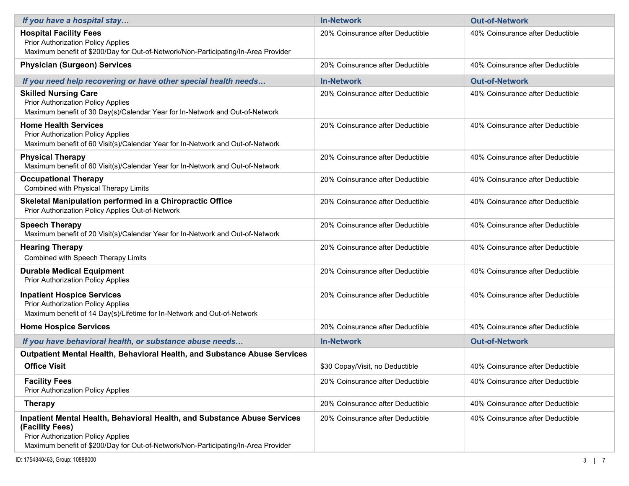| If you have a hospital stay                                                                                                                                                                                                    | <b>In-Network</b>                | <b>Out-of-Network</b>            |
|--------------------------------------------------------------------------------------------------------------------------------------------------------------------------------------------------------------------------------|----------------------------------|----------------------------------|
| <b>Hospital Facility Fees</b><br><b>Prior Authorization Policy Applies</b><br>Maximum benefit of \$200/Day for Out-of-Network/Non-Participating/In-Area Provider                                                               | 20% Coinsurance after Deductible | 40% Coinsurance after Deductible |
| <b>Physician (Surgeon) Services</b>                                                                                                                                                                                            | 20% Coinsurance after Deductible | 40% Coinsurance after Deductible |
| If you need help recovering or have other special health needs                                                                                                                                                                 | <b>In-Network</b>                | <b>Out-of-Network</b>            |
| <b>Skilled Nursing Care</b><br><b>Prior Authorization Policy Applies</b><br>Maximum benefit of 30 Day(s)/Calendar Year for In-Network and Out-of-Network                                                                       | 20% Coinsurance after Deductible | 40% Coinsurance after Deductible |
| <b>Home Health Services</b><br>Prior Authorization Policy Applies<br>Maximum benefit of 60 Visit(s)/Calendar Year for In-Network and Out-of-Network                                                                            | 20% Coinsurance after Deductible | 40% Coinsurance after Deductible |
| <b>Physical Therapy</b><br>Maximum benefit of 60 Visit(s)/Calendar Year for In-Network and Out-of-Network                                                                                                                      | 20% Coinsurance after Deductible | 40% Coinsurance after Deductible |
| <b>Occupational Therapy</b><br>Combined with Physical Therapy Limits                                                                                                                                                           | 20% Coinsurance after Deductible | 40% Coinsurance after Deductible |
| Skeletal Manipulation performed in a Chiropractic Office<br>Prior Authorization Policy Applies Out-of-Network                                                                                                                  | 20% Coinsurance after Deductible | 40% Coinsurance after Deductible |
| <b>Speech Therapy</b><br>Maximum benefit of 20 Visit(s)/Calendar Year for In-Network and Out-of-Network                                                                                                                        | 20% Coinsurance after Deductible | 40% Coinsurance after Deductible |
| <b>Hearing Therapy</b><br>Combined with Speech Therapy Limits                                                                                                                                                                  | 20% Coinsurance after Deductible | 40% Coinsurance after Deductible |
| <b>Durable Medical Equipment</b><br><b>Prior Authorization Policy Applies</b>                                                                                                                                                  | 20% Coinsurance after Deductible | 40% Coinsurance after Deductible |
| <b>Inpatient Hospice Services</b><br>Prior Authorization Policy Applies<br>Maximum benefit of 14 Day(s)/Lifetime for In-Network and Out-of-Network                                                                             | 20% Coinsurance after Deductible | 40% Coinsurance after Deductible |
| <b>Home Hospice Services</b>                                                                                                                                                                                                   | 20% Coinsurance after Deductible | 40% Coinsurance after Deductible |
| If you have behavioral health, or substance abuse needs                                                                                                                                                                        | <b>In-Network</b>                | <b>Out-of-Network</b>            |
| <b>Outpatient Mental Health, Behavioral Health, and Substance Abuse Services</b>                                                                                                                                               |                                  |                                  |
| <b>Office Visit</b>                                                                                                                                                                                                            | \$30 Copay/Visit, no Deductible  | 40% Coinsurance after Deductible |
| <b>Facility Fees</b><br>Prior Authorization Policy Applies                                                                                                                                                                     | 20% Coinsurance after Deductible | 40% Coinsurance after Deductible |
| <b>Therapy</b>                                                                                                                                                                                                                 | 20% Coinsurance after Deductible | 40% Coinsurance after Deductible |
| Inpatient Mental Health, Behavioral Health, and Substance Abuse Services<br>(Facility Fees)<br><b>Prior Authorization Policy Applies</b><br>Maximum benefit of \$200/Day for Out-of-Network/Non-Participating/In-Area Provider | 20% Coinsurance after Deductible | 40% Coinsurance after Deductible |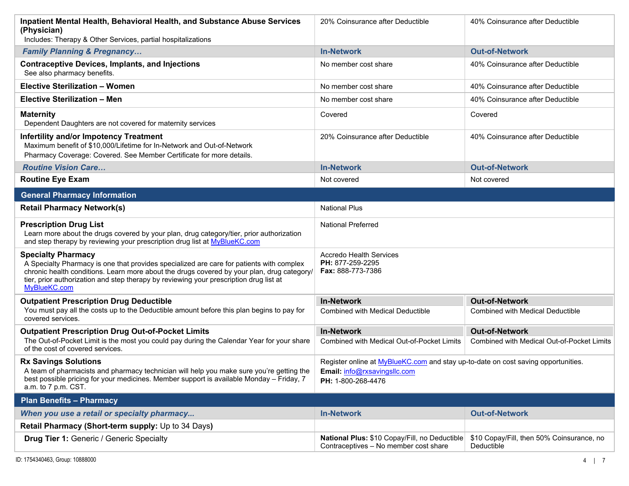| <b>Inpatient Mental Health, Behavioral Health, and Substance Abuse Services</b><br>(Physician)<br>Includes: Therapy & Other Services, partial hospitalizations                                                                                                                                                                | 20% Coinsurance after Deductible                                                                                                               | 40% Coinsurance after Deductible                                    |
|-------------------------------------------------------------------------------------------------------------------------------------------------------------------------------------------------------------------------------------------------------------------------------------------------------------------------------|------------------------------------------------------------------------------------------------------------------------------------------------|---------------------------------------------------------------------|
| <b>Family Planning &amp; Pregnancy</b>                                                                                                                                                                                                                                                                                        | <b>In-Network</b>                                                                                                                              | <b>Out-of-Network</b>                                               |
| <b>Contraceptive Devices, Implants, and Injections</b><br>See also pharmacy benefits.                                                                                                                                                                                                                                         | No member cost share                                                                                                                           | 40% Coinsurance after Deductible                                    |
| <b>Elective Sterilization - Women</b>                                                                                                                                                                                                                                                                                         | No member cost share                                                                                                                           | 40% Coinsurance after Deductible                                    |
| Elective Sterilization - Men                                                                                                                                                                                                                                                                                                  | No member cost share                                                                                                                           | 40% Coinsurance after Deductible                                    |
| <b>Maternity</b><br>Dependent Daughters are not covered for maternity services                                                                                                                                                                                                                                                | Covered                                                                                                                                        | Covered                                                             |
| <b>Infertility and/or Impotency Treatment</b><br>Maximum benefit of \$10,000/Lifetime for In-Network and Out-of-Network<br>Pharmacy Coverage: Covered. See Member Certificate for more details.                                                                                                                               | 20% Coinsurance after Deductible                                                                                                               | 40% Coinsurance after Deductible                                    |
| <b>Routine Vision Care</b>                                                                                                                                                                                                                                                                                                    | <b>In-Network</b>                                                                                                                              | <b>Out-of-Network</b>                                               |
| <b>Routine Eye Exam</b>                                                                                                                                                                                                                                                                                                       | Not covered                                                                                                                                    | Not covered                                                         |
| <b>General Pharmacy Information</b>                                                                                                                                                                                                                                                                                           |                                                                                                                                                |                                                                     |
| <b>Retail Pharmacy Network(s)</b>                                                                                                                                                                                                                                                                                             | <b>National Plus</b>                                                                                                                           |                                                                     |
| <b>Prescription Drug List</b><br>Learn more about the drugs covered by your plan, drug category/tier, prior authorization<br>and step therapy by reviewing your prescription drug list at MyBlueKC.com                                                                                                                        | <b>National Preferred</b>                                                                                                                      |                                                                     |
| <b>Specialty Pharmacy</b><br>A Specialty Pharmacy is one that provides specialized are care for patients with complex<br>chronic health conditions. Learn more about the drugs covered by your plan, drug category/<br>tier, prior authorization and step therapy by reviewing your prescription drug list at<br>MyBlueKC.com | <b>Accredo Health Services</b><br>PH: 877-259-2295<br>Fax: 888-773-7386                                                                        |                                                                     |
| <b>Outpatient Prescription Drug Deductible</b>                                                                                                                                                                                                                                                                                | <b>In-Network</b>                                                                                                                              | <b>Out-of-Network</b>                                               |
| You must pay all the costs up to the Deductible amount before this plan begins to pay for<br>covered services.                                                                                                                                                                                                                | <b>Combined with Medical Deductible</b>                                                                                                        | <b>Combined with Medical Deductible</b>                             |
| <b>Outpatient Prescription Drug Out-of-Pocket Limits</b><br>The Out-of-Pocket Limit is the most you could pay during the Calendar Year for your share<br>of the cost of covered services.                                                                                                                                     | <b>In-Network</b><br><b>Combined with Medical Out-of-Pocket Limits</b>                                                                         | <b>Out-of-Network</b><br>Combined with Medical Out-of-Pocket Limits |
| <b>Rx Savings Solutions</b><br>A team of pharmacists and pharmacy technician will help you make sure you're getting the<br>best possible pricing for your medicines. Member support is available Monday - Friday, 7<br>a.m. to 7 p.m. CST.                                                                                    | Register online at <b>MyBlueKC.com</b> and stay up-to-date on cost saving opportunities.<br>Email: info@rxsavingsllc.com<br>PH: 1-800-268-4476 |                                                                     |
| <b>Plan Benefits - Pharmacy</b>                                                                                                                                                                                                                                                                                               |                                                                                                                                                |                                                                     |
| When you use a retail or specialty pharmacy                                                                                                                                                                                                                                                                                   | <b>In-Network</b>                                                                                                                              | <b>Out-of-Network</b>                                               |
| Retail Pharmacy (Short-term supply: Up to 34 Days)                                                                                                                                                                                                                                                                            |                                                                                                                                                |                                                                     |
| <b>Drug Tier 1: Generic / Generic Specialty</b>                                                                                                                                                                                                                                                                               | National Plus: \$10 Copay/Fill, no Deductible<br>Contraceptives - No member cost share                                                         | \$10 Copay/Fill, then 50% Coinsurance, no<br>Deductible             |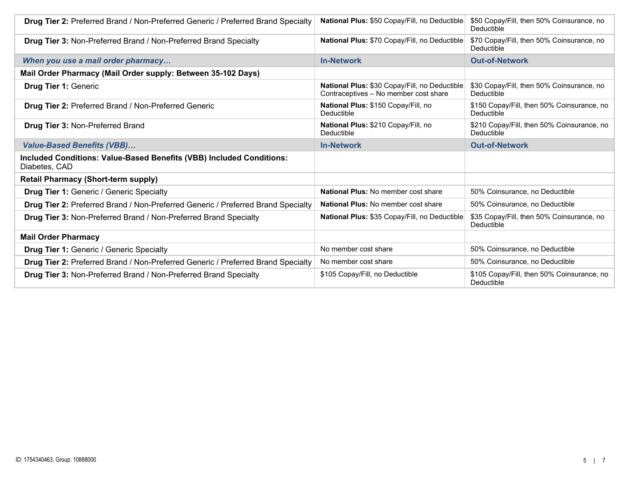| Drug Tier 2: Preferred Brand / Non-Preferred Generic / Preferred Brand Specialty      | National Plus: \$50 Copay/Fill, no Deductible                                          | \$50 Copay/Fill, then 50% Coinsurance, no<br>Deductible  |
|---------------------------------------------------------------------------------------|----------------------------------------------------------------------------------------|----------------------------------------------------------|
| <b>Drug Tier 3: Non-Preferred Brand / Non-Preferred Brand Specialty</b>               | National Plus: \$70 Copay/Fill, no Deductible                                          | \$70 Copay/Fill, then 50% Coinsurance, no<br>Deductible  |
| When you use a mail order pharmacy                                                    | <b>In-Network</b>                                                                      | <b>Out-of-Network</b>                                    |
| Mail Order Pharmacy (Mail Order supply: Between 35-102 Days)                          |                                                                                        |                                                          |
| <b>Drug Tier 1: Generic</b>                                                           | National Plus: \$30 Copay/Fill, no Deductible<br>Contraceptives - No member cost share | \$30 Copay/Fill, then 50% Coinsurance, no<br>Deductible  |
| <b>Drug Tier 2: Preferred Brand / Non-Preferred Generic</b>                           | National Plus: \$150 Copay/Fill, no<br>Deductible                                      | \$150 Copay/Fill, then 50% Coinsurance, no<br>Deductible |
| <b>Drug Tier 3: Non-Preferred Brand</b>                                               | National Plus: \$210 Copay/Fill, no<br>Deductible                                      | \$210 Copay/Fill, then 50% Coinsurance, no<br>Deductible |
| <b>Value-Based Benefits (VBB)</b>                                                     | <b>In-Network</b>                                                                      | <b>Out-of-Network</b>                                    |
| Included Conditions: Value-Based Benefits (VBB) Included Conditions:<br>Diabetes, CAD |                                                                                        |                                                          |
| <b>Retail Pharmacy (Short-term supply)</b>                                            |                                                                                        |                                                          |
| <b>Drug Tier 1: Generic / Generic Specialty</b>                                       | <b>National Plus: No member cost share</b>                                             | 50% Coinsurance, no Deductible                           |
| Drug Tier 2: Preferred Brand / Non-Preferred Generic / Preferred Brand Specialty      | <b>National Plus: No member cost share</b>                                             | 50% Coinsurance, no Deductible                           |
| Drug Tier 3: Non-Preferred Brand / Non-Preferred Brand Specialty                      | National Plus: \$35 Copay/Fill, no Deductible                                          | \$35 Copay/Fill, then 50% Coinsurance, no<br>Deductible  |
| <b>Mail Order Pharmacy</b>                                                            |                                                                                        |                                                          |
| <b>Drug Tier 1: Generic / Generic Specialty</b>                                       | No member cost share                                                                   | 50% Coinsurance, no Deductible                           |
| Drug Tier 2: Preferred Brand / Non-Preferred Generic / Preferred Brand Specialty      | No member cost share                                                                   | 50% Coinsurance, no Deductible                           |
| <b>Drug Tier 3: Non-Preferred Brand / Non-Preferred Brand Specialty</b>               | \$105 Copay/Fill, no Deductible                                                        | \$105 Copay/Fill, then 50% Coinsurance, no<br>Deductible |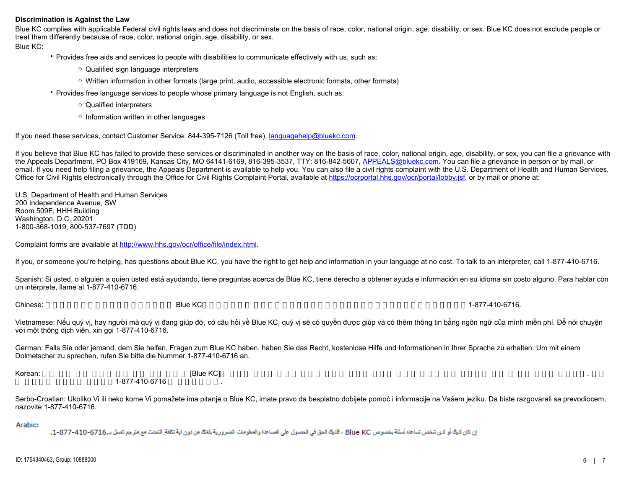## **Discrimination is Against the Law**

Blue KC complies with applicable Federal civil rights laws and does not discriminate on the basis of race, color, national origin, age, disability, or sex. Blue KC does not exclude people or treat them differently because of race, color, national origin, age, disability, or sex.

Blue KC:

• Provides free aids and services to people with disabilities to communicate effectively with us, such as:

- Qualified sign language interpreters
- Written information in other formats (large print, audio, accessible electronic formats, other formats)
- Provides free language services to people whose primary language is not English, such as:
	- Qualified interpreters
	- Information written in other languages

If you need these services, contact Customer Service, 844-395-7126 (Toll free), [languagehelp@bluekc.com](mailto:languagehelp@bluekc.com).

If you believe that Blue KC has failed to provide these services or discriminated in another way on the basis of race, color, national origin, age, disability, or sex, you can file a grievance with the Appeals Department, PO Box 419169, Kansas City, MO 64141-6169, 816-395-3537, TTY: 816-842-5607, [APPEALS@bluekc.com](mailto:APPEALS@bluekc.com). You can file a grievance in person or by mail, or email. If you need help filing a grievance, the Appeals Department is available to help you. You can also file a civil rights complaint with the U.S. Department of Health and Human Services, Office for Civil Rights electronically through the Office for Civil Rights Complaint Portal, available at<https://ocrportal.hhs.gov/ocr/portal/lobby.jsf>, or by mail or phone at:

U.S. Department of Health and Human Services 200 Independence Avenue, SW Room 509F, HHH Building Washington, D.C. 20201 1-800-368-1019, 800-537-7697 (TDD)

Complaint forms are available at [http://www.hhs.gov/ocr/office/file/index.html](https://www.hhs.gov/ocr/office/file/index.html).

If you, or someone you're helping, has questions about Blue KC, you have the right to get help and information in your language at no cost. To talk to an interpreter, call 1-877-410-6716.

Spanish: Si usted, o alguien a quien usted está ayudando, tiene preguntas acerca de Blue KC, tiene derecho a obtener ayuda e información en su idioma sin costo alguno. Para hablar con un intérprete, llame al 1-877-410-6716.

Chinese: 如果您,或是您正在協助的對象,有關於 Blue KC方面的問題,您 有權利免費以您的母語得到幫助和訊息。洽詢一位翻譯員,請撥電話1-877-410-6716.

Vietnamese: Nếu quý vị, hay người mà quý vị đang giúp đỡ, có câu hỏi về Blue KC, quý vị sẽ có quyền được giúp và có thêm thông tin bằng ngôn ngữ của mình miễn phí. Để nói chuyện với một thông dịch viên, xin gọi 1-877-410-6716.

German: Falls Sie oder jemand, dem Sie helfen, Fragen zum Blue KC haben, haben Sie das Recht, kostenlose Hilfe und Informationen in Ihrer Sprache zu erhalten. Um mit einem Dolmetscher zu sprechen, rufen Sie bitte die Nummer 1-877-410-6716 an.

Korean: 한약 기능을 구축하 도움과 같은 어떤 사람이 있다면 있다면 있다면 있다면 있다면 귀하의 질문이 있다면 귀하의 것보다 귀하의 것보다 귀하의 것보다 구축하고 있습니다. 그러한 도움과 정보를 1-877-410-6716

Serbo-Croatian: Ukoliko Vi ili neko kome Vi pomažete ima pitanje o Blue KC, imate pravo da besplatno dobijete pomoć i informacije na Vašem jeziku. Da biste razgovarali sa prevodiocem, nazovite 1-877-410-6716.

Arabic:

ان كان لايك أو لاى شخص تساعده أسئلة بخصوص Blue KC ، فلايك الحق فى الحصول على المساعدة والمعلومات الضرورية بلغتك من نون اية تكلفة للتحنث مع مترجع اتصل بـ 6716-10-877-1، -1،